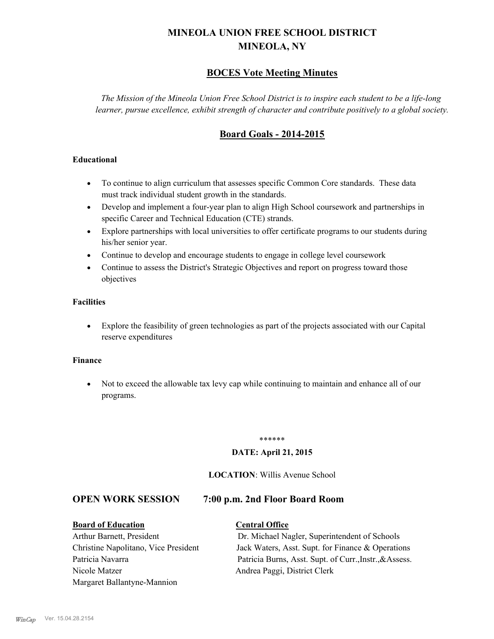# **MINEOLA UNION FREE SCHOOL DISTRICT MINEOLA, NY**

# **BOCES Vote Meeting Minutes**

*The Mission of the Mineola Union Free School District is to inspire each student to be a life-long learner, pursue excellence, exhibit strength of character and contribute positively to a global society.*

# **Board Goals - 2014-2015**

## **Educational**

- · To continue to align curriculum that assesses specific Common Core standards. These data must track individual student growth in the standards.
- · Develop and implement a four-year plan to align High School coursework and partnerships in specific Career and Technical Education (CTE) strands.
- · Explore partnerships with local universities to offer certificate programs to our students during his/her senior year.
- · Continue to develop and encourage students to engage in college level coursework
- Continue to assess the District's Strategic Objectives and report on progress toward those objectives

## **Facilities**

· Explore the feasibility of green technologies as part of the projects associated with our Capital reserve expenditures

#### **Finance**

· Not to exceed the allowable tax levy cap while continuing to maintain and enhance all of our programs.

#### \*\*\*\*\*\*

#### **DATE: April 21, 2015**

### **LOCATION**: Willis Avenue School

# **OPEN WORK SESSION 7:00 p.m. 2nd Floor Board Room**

**Board of Education Central Office** Nicole Matzer Andrea Paggi, District Clerk Margaret Ballantyne-Mannion

Arthur Barnett, President Dr. Michael Nagler, Superintendent of Schools Christine Napolitano, Vice President Jack Waters, Asst. Supt. for Finance & Operations Patricia Navarra Patricia Burns, Asst. Supt. of Curr., Instr., & Assess.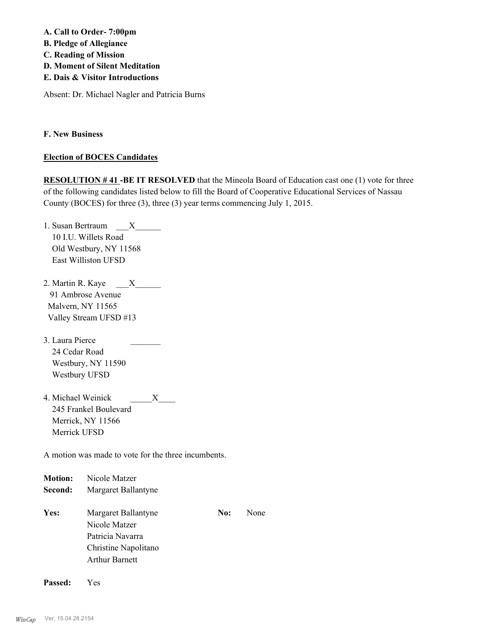**A. Call to Order- 7:00pm B. Pledge of Allegiance C. Reading of Mission D. Moment of Silent Meditation E. Dais & Visitor Introductions**

Absent: Dr. Michael Nagler and Patricia Burns

**F. New Business**

### **Election of BOCES Candidates**

**RESOLUTION # 41 -BE IT RESOLVED** that the Mineola Board of Education cast one (1) vote for three of the following candidates listed below to fill the Board of Cooperative Educational Services of Nassau County (BOCES) for three (3), three (3) year terms commencing July 1, 2015.

- 1. Susan Bertraum \_\_\_X\_\_\_\_\_\_\_ 10 I.U. Willets Road Old Westbury, NY 11568 East Williston UFSD
- 2. Martin R. Kaye  $\overline{X}$  91 Ambrose Avenue Malvern, NY 11565 Valley Stream UFSD #13
- 3. Laura Pierce 24 Cedar Road Westbury, NY 11590 Westbury UFSD
- 4. Michael Weinick \_\_\_\_\_X\_\_\_\_ 245 Frankel Boulevard Merrick, NY 11566 Merrick UFSD

A motion was made to vote for the three incumbents.

| <b>Motion:</b> | Nicole Matzer                                                                                             |     |      |
|----------------|-----------------------------------------------------------------------------------------------------------|-----|------|
| Second:        | Margaret Ballantyne                                                                                       |     |      |
| Yes:           | Margaret Ballantyne<br>Nicole Matzer<br>Patricia Navarra<br>Christine Napolitano<br><b>Arthur Barnett</b> | No: | None |

**Passed:** Yes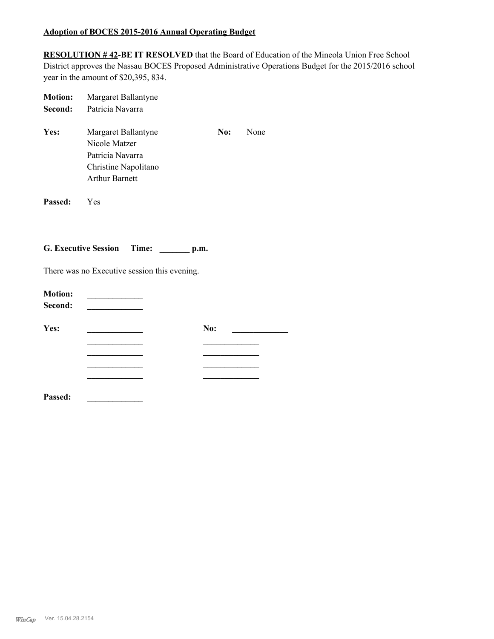# **Adoption of BOCES 2015-2016 Annual Operating Budget**

**RESOLUTION # 42-BE IT RESOLVED** that the Board of Education of the Mineola Union Free School District approves the Nassau BOCES Proposed Administrative Operations Budget for the 2015/2016 school year in the amount of \$20,395, 834.

| <b>Motion:</b> | Margaret Ballantyne                                                                                       |     |      |
|----------------|-----------------------------------------------------------------------------------------------------------|-----|------|
| Second:        | Patricia Navarra                                                                                          |     |      |
| Yes:           | Margaret Ballantyne<br>Nicole Matzer<br>Patricia Navarra<br>Christine Napolitano<br><b>Arthur Barnett</b> | No: | None |
| Passed:        | <b>Yes</b>                                                                                                |     |      |

**G. Executive Session Time: \_\_\_\_\_\_\_ p.m.**

There was no Executive session this evening.

| <b>Motion:</b><br>Second: |     |
|---------------------------|-----|
| Yes:                      | No: |
|                           |     |
|                           |     |
|                           |     |
|                           |     |
| Passed:                   |     |